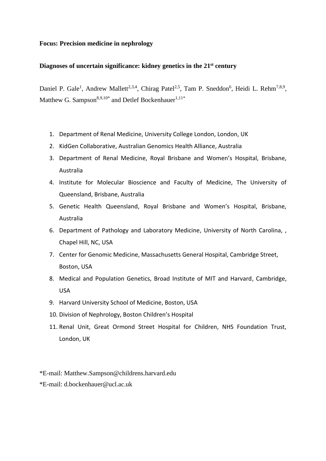## **Focus: Precision medicine in nephrology**

## **Diagnoses of uncertain significance: kidney genetics in the 21st century**

Daniel P. Gale<sup>1</sup>, Andrew Mallett<sup>2,3,4</sup>, Chirag Patel<sup>2,5</sup>, Tam P. Sneddon<sup>6</sup>, Heidi L. Rehm<sup>7,8,9</sup>, Matthew G. Sampson $^{8,9,10^{\ast}}$  and Detlef Bockenhauer $^{1,11^{\ast}}$ 

- 1. Department of Renal Medicine, University College London, London, UK
- 2. KidGen Collaborative, Australian Genomics Health Alliance, Australia
- 3. Department of Renal Medicine, Royal Brisbane and Women's Hospital, Brisbane, Australia
- 4. Institute for Molecular Bioscience and Faculty of Medicine, The University of Queensland, Brisbane, Australia
- 5. Genetic Health Queensland, Royal Brisbane and Women's Hospital, Brisbane, Australia
- 6. Department of Pathology and Laboratory Medicine, University of North Carolina, , Chapel Hill, NC, USA
- 7. Center for Genomic Medicine, Massachusetts General Hospital, Cambridge Street, Boston, USA
- 8. Medical and Population Genetics, Broad Institute of MIT and Harvard, Cambridge, USA
- 9. Harvard University School of Medicine, Boston, USA
- 10. Division of Nephrology, Boston Children's Hospital
- 11. Renal Unit, Great Ormond Street Hospital for Children, NHS Foundation Trust, London, UK
- \*E-mail: Matthew.Sampson@childrens.harvard.edu
- \*E-mail: d.bockenhauer@ucl.ac.uk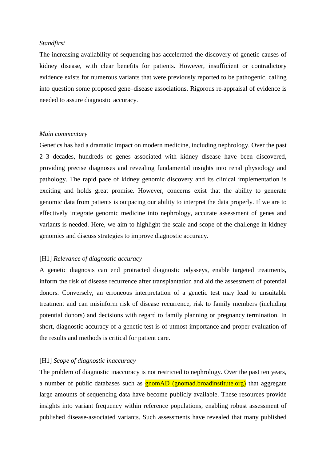## *Standfirst*

The increasing availability of sequencing has accelerated the discovery of genetic causes of kidney disease, with clear benefits for patients. However, insufficient or contradictory evidence exists for numerous variants that were previously reported to be pathogenic, calling into question some proposed gene–disease associations. Rigorous re-appraisal of evidence is needed to assure diagnostic accuracy.

#### *Main commentary*

Genetics has had a dramatic impact on modern medicine, including nephrology. Over the past 2–3 decades, hundreds of genes associated with kidney disease have been discovered, providing precise diagnoses and revealing fundamental insights into renal physiology and pathology. The rapid pace of kidney genomic discovery and its clinical implementation is exciting and holds great promise. However, concerns exist that the ability to generate genomic data from patients is outpacing our ability to interpret the data properly. If we are to effectively integrate genomic medicine into nephrology, accurate assessment of genes and variants is needed. Here, we aim to highlight the scale and scope of the challenge in kidney genomics and discuss strategies to improve diagnostic accuracy.

## [H1] *Relevance of diagnostic accuracy*

A genetic diagnosis can end protracted diagnostic odysseys, enable targeted treatments, inform the risk of disease recurrence after transplantation and aid the assessment of potential donors. Conversely, an erroneous interpretation of a genetic test may lead to unsuitable treatment and can misinform risk of disease recurrence, risk to family members (including potential donors) and decisions with regard to family planning or pregnancy termination. In short, diagnostic accuracy of a genetic test is of utmost importance and proper evaluation of the results and methods is critical for patient care.

## [H1] *Scope of diagnostic inaccuracy*

The problem of diagnostic inaccuracy is not restricted to nephrology. Over the past ten years, a number of public databases such as **gnomAD** (gnomad.broadinstitute.org) that aggregate large amounts of sequencing data have become publicly available. These resources provide insights into variant frequency within reference populations, enabling robust assessment of published disease-associated variants. Such assessments have revealed that many published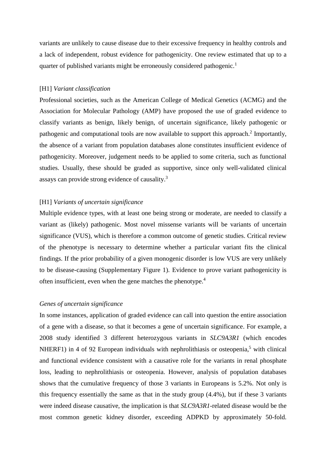variants are unlikely to cause disease due to their excessive frequency in healthy controls and a lack of independent, robust evidence for pathogenicity. One review estimated that up to a quarter of published variants might be erroneously considered pathogenic.<sup>1</sup>

### [H1] *Variant classification*

Professional societies, such as the American College of Medical Genetics (ACMG) and the Association for Molecular Pathology (AMP) have proposed the use of graded evidence to classify variants as benign, likely benign, of uncertain significance, likely pathogenic or pathogenic and computational tools are now available to support this approach.<sup>2</sup> Importantly, the absence of a variant from population databases alone constitutes insufficient evidence of pathogenicity. Moreover, judgement needs to be applied to some criteria, such as functional studies. Usually, these should be graded as supportive, since only well-validated clinical assays can provide strong evidence of causality.<sup>3</sup>

## [H1] *Variants of uncertain significance*

Multiple evidence types, with at least one being strong or moderate, are needed to classify a variant as (likely) pathogenic. Most novel missense variants will be variants of uncertain significance (VUS), which is therefore a common outcome of genetic studies. Critical review of the phenotype is necessary to determine whether a particular variant fits the clinical findings. If the prior probability of a given monogenic disorder is low VUS are very unlikely to be disease-causing (Supplementary Figure 1). Evidence to prove variant pathogenicity is often insufficient, even when the gene matches the phenotype. 4

#### *Genes of uncertain significance*

In some instances, application of graded evidence can call into question the entire association of a gene with a disease, so that it becomes a gene of uncertain significance. For example, a 2008 study identified 3 different heterozygous variants in *SLC9A3R1* (which encodes NHERF1) in 4 of 92 European individuals with nephrolithiasis or osteopenia,<sup>5</sup> with clinical and functional evidence consistent with a causative role for the variants in renal phosphate loss, leading to nephrolithiasis or osteopenia. However, analysis of population databases shows that the cumulative frequency of those 3 variants in Europeans is 5.2%. Not only is this frequency essentially the same as that in the study group (4.4%), but if these 3 variants were indeed disease causative, the implication is that *SLC9A3R1*-related disease would be the most common genetic kidney disorder, exceeding ADPKD by approximately 50-fold.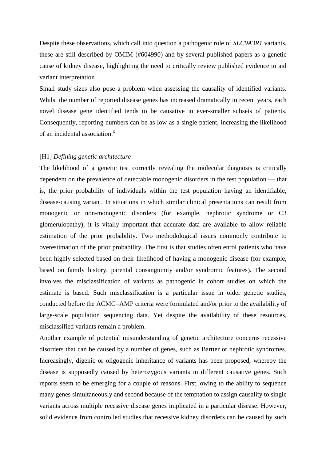Despite these observations, which call into question a pathogenic role of *SLC9A3R1* variants, these are still described by OMIM (#604990) and by several published papers as a genetic cause of kidney disease, highlighting the need to critically review published evidence to aid variant interpretation

Small study sizes also pose a problem when assessing the causality of identified variants. Whilst the number of reported disease genes has increased dramatically in recent years, each novel disease gene identified tends to be causative in ever-smaller subsets of patients. Consequently, reporting numbers can be as low as a single patient, increasing the likelihood of an incidental association. 6

#### [H1] *Defining genetic architecture*

The likelihood of a genetic test correctly revealing the molecular diagnosis is critically dependent on the prevalence of detectable monogenic disorders in the test population — that is, the prior probability of individuals within the test population having an identifiable, disease-causing variant. In situations in which similar clinical presentations can result from monogenic or non-monogenic disorders (for example, nephrotic syndrome or C3 glomerulopathy), it is vitally important that accurate data are available to allow reliable estimation of the prior probability. Two methodological issues commonly contribute to overestimation of the prior probability. The first is that studies often enrol patients who have been highly selected based on their likelihood of having a monogenic disease (for example, based on family history, parental consanguinity and/or syndromic features). The second involves the misclassification of variants as pathogenic in cohort studies on which the estimate is based. Such misclassification is a particular issue in older genetic studies, conducted before the ACMG–AMP criteria were formulated and/or prior to the availability of large-scale population sequencing data. Yet despite the availability of these resources, misclassified variants remain a problem.

Another example of potential misunderstanding of genetic architecture concerns recessive disorders that can be caused by a number of genes, such as Bartter or nephrotic syndromes. Increasingly, digenic or oligogenic inheritance of variants has been proposed, whereby the disease is supposedly caused by heterozygous variants in different causative genes. Such reports seem to be emerging for a couple of reasons. First, owing to the ability to sequence many genes simultaneously and second because of the temptation to assign causality to single variants across multiple recessive disease genes implicated in a particular disease. However, solid evidence from controlled studies that recessive kidney disorders can be caused by such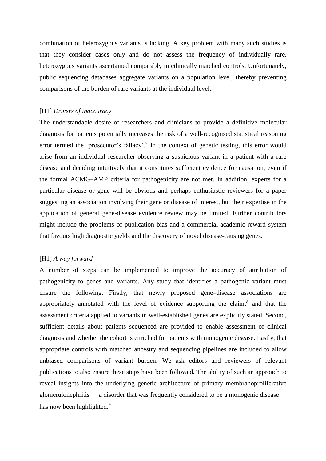combination of heterozygous variants is lacking. A key problem with many such studies is that they consider cases only and do not assess the frequency of individually rare, heterozygous variants ascertained comparably in ethnically matched controls. Unfortunately, public sequencing databases aggregate variants on a population level, thereby preventing comparisons of the burden of rare variants at the individual level.

## [H1] *Drivers of inaccuracy*

The understandable desire of researchers and clinicians to provide a definitive molecular diagnosis for patients potentially increases the risk of a well-recognised statistical reasoning error termed the 'prosecutor's fallacy'.<sup>7</sup> In the context of genetic testing, this error would arise from an individual researcher observing a suspicious variant in a patient with a rare disease and deciding intuitively that it constitutes sufficient evidence for causation, even if the formal ACMG–AMP criteria for pathogenicity are not met. In addition, experts for a particular disease or gene will be obvious and perhaps enthusiastic reviewers for a paper suggesting an association involving their gene or disease of interest, but their expertise in the application of general gene-disease evidence review may be limited. Further contributors might include the problems of publication bias and a commercial-academic reward system that favours high diagnostic yields and the discovery of novel disease-causing genes.

### [H1] *A way forward*

A number of steps can be implemented to improve the accuracy of attribution of pathogenicity to genes and variants. Any study that identifies a pathogenic variant must ensure the following. Firstly, that newly proposed gene–disease associations are appropriately annotated with the level of evidence supporting the claim,<sup>8</sup> and that the assessment criteria applied to variants in well-established genes are explicitly stated. Second, sufficient details about patients sequenced are provided to enable assessment of clinical diagnosis and whether the cohort is enriched for patients with monogenic disease. Lastly, that appropriate controls with matched ancestry and sequencing pipelines are included to allow unbiased comparisons of variant burden. We ask editors and reviewers of relevant publications to also ensure these steps have been followed. The ability of such an approach to reveal insights into the underlying genetic architecture of primary membranoproliferative glomerulonephritis  $-$  a disorder that was frequently considered to be a monogenic disease  $$ has now been highlighted.<sup>9</sup>